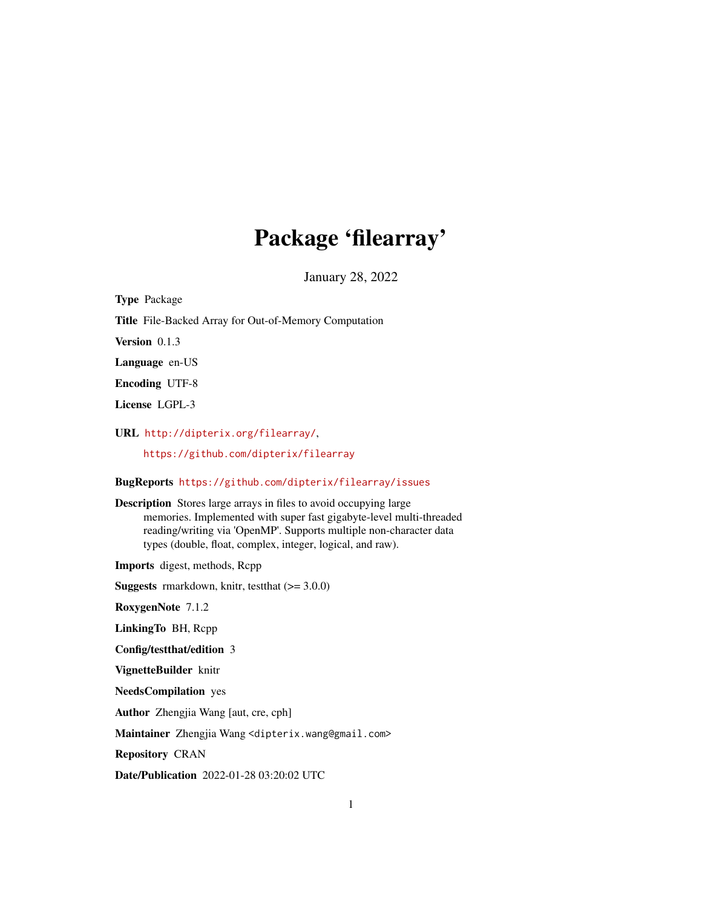## Package 'filearray'

January 28, 2022

<span id="page-0-0"></span>Type Package Title File-Backed Array for Out-of-Memory Computation Version 0.1.3 Language en-US Encoding UTF-8 License LGPL-3 URL <http://dipterix.org/filearray/>, <https://github.com/dipterix/filearray> BugReports <https://github.com/dipterix/filearray/issues> Description Stores large arrays in files to avoid occupying large memories. Implemented with super fast gigabyte-level multi-threaded reading/writing via 'OpenMP'. Supports multiple non-character data types (double, float, complex, integer, logical, and raw). Imports digest, methods, Rcpp **Suggests** rmarkdown, knitr, test that  $(>= 3.0.0)$ RoxygenNote 7.1.2 LinkingTo BH, Rcpp Config/testthat/edition 3 VignetteBuilder knitr NeedsCompilation yes Author Zhengjia Wang [aut, cre, cph] Maintainer Zhengjia Wang <dipterix.wang@gmail.com> Repository CRAN Date/Publication 2022-01-28 03:20:02 UTC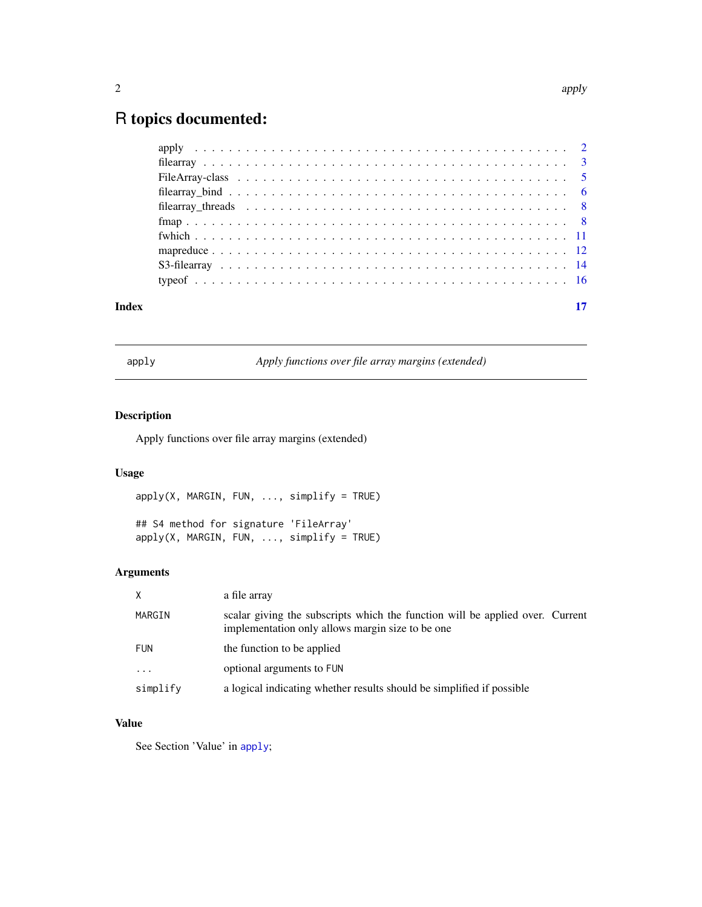### <span id="page-1-0"></span>R topics documented:

| Index |  |
|-------|--|
|       |  |
|       |  |
|       |  |
|       |  |
|       |  |
|       |  |
|       |  |
|       |  |
|       |  |
|       |  |

<span id="page-1-1"></span>apply *Apply functions over file array margins (extended)*

### Description

Apply functions over file array margins (extended)

#### Usage

apply(X, MARGIN, FUN, ..., simplify = TRUE)

## S4 method for signature 'FileArray'  $apply(X, MARGIN, FUN, ..., simplify = TRUE)$ 

#### Arguments

| X          | a file array                                                                                                                      |
|------------|-----------------------------------------------------------------------------------------------------------------------------------|
| MARGIN     | scalar giving the subscripts which the function will be applied over. Current<br>implementation only allows margin size to be one |
| <b>FUN</b> | the function to be applied                                                                                                        |
| $\ddotsc$  | optional arguments to FUN                                                                                                         |
| simplify   | a logical indicating whether results should be simplified if possible                                                             |

#### Value

See Section 'Value' in [apply](#page-1-1);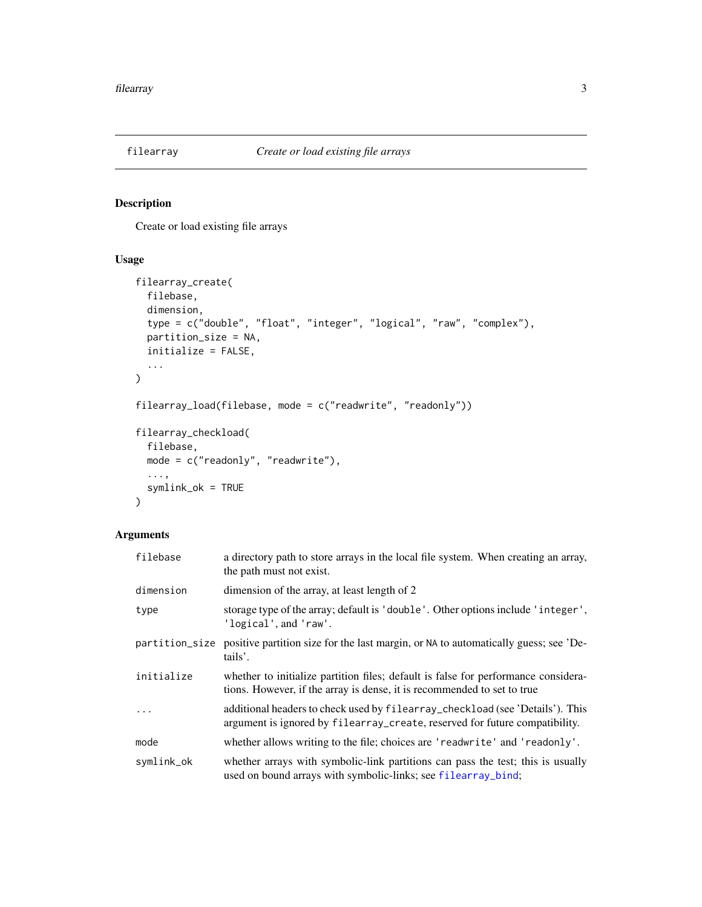<span id="page-2-2"></span><span id="page-2-0"></span>

#### <span id="page-2-1"></span>Description

Create or load existing file arrays

#### Usage

```
filearray_create(
  filebase,
 dimension,
  type = c("double", "float", "integer", "logical", "raw", "complex"),
 partition_size = NA,
  initialize = FALSE,
  ...
\mathcal{L}filearray_load(filebase, mode = c("readwrite", "readonly"))
filearray_checkload(
  filebase,
 mode = c("readonly", "readwrite"),
  ...,
  symlink_ok = TRUE
)
```

| filebase   | a directory path to store arrays in the local file system. When creating an array,<br>the path must not exist.                                                |
|------------|---------------------------------------------------------------------------------------------------------------------------------------------------------------|
| dimension  | dimension of the array, at least length of 2                                                                                                                  |
| type       | storage type of the array; default is 'double'. Other options include 'integer',<br>'logical', and 'raw'.                                                     |
|            | partition_size positive partition size for the last margin, or NA to automatically guess; see 'De-<br>tails'.                                                 |
| initialize | whether to initialize partition files; default is false for performance considera-<br>tions. However, if the array is dense, it is recommended to set to true |
|            | additional headers to check used by filear ray_checkload (see 'Details'). This<br>argument is ignored by filearray_create, reserved for future compatibility. |
| mode       | whether allows writing to the file; choices are 'readwrite' and 'readonly'.                                                                                   |
| symlink_ok | whether arrays with symbolic-link partitions can pass the test; this is usually<br>used on bound arrays with symbolic-links; see filearray_bind;              |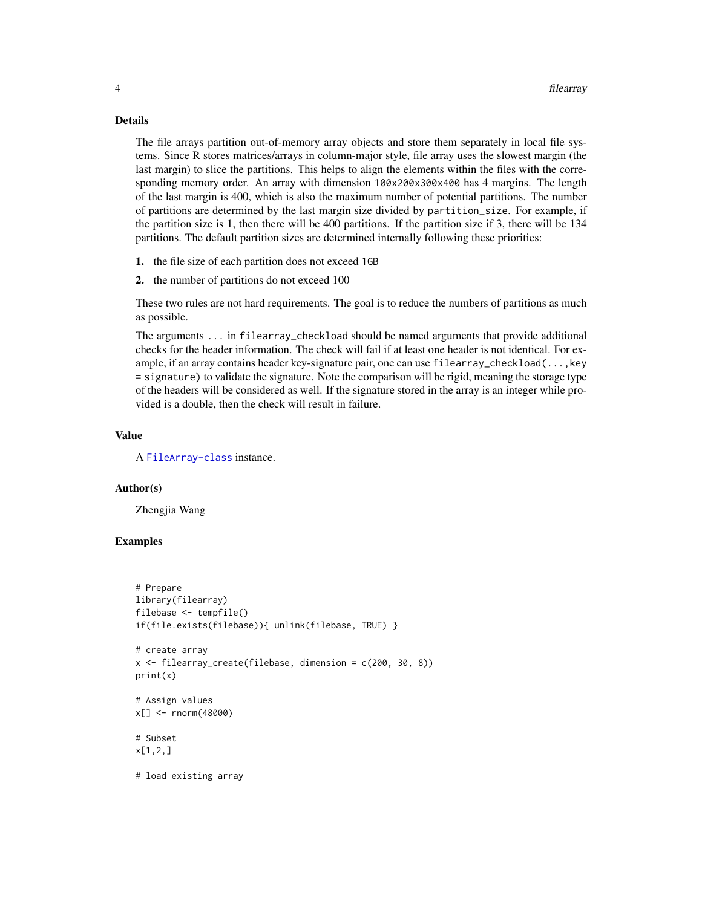#### Details

The file arrays partition out-of-memory array objects and store them separately in local file systems. Since R stores matrices/arrays in column-major style, file array uses the slowest margin (the last margin) to slice the partitions. This helps to align the elements within the files with the corresponding memory order. An array with dimension 100x200x300x400 has 4 margins. The length of the last margin is 400, which is also the maximum number of potential partitions. The number of partitions are determined by the last margin size divided by partition\_size. For example, if the partition size is 1, then there will be 400 partitions. If the partition size if 3, there will be 134 partitions. The default partition sizes are determined internally following these priorities:

- 1. the file size of each partition does not exceed 1GB
- 2. the number of partitions do not exceed 100

These two rules are not hard requirements. The goal is to reduce the numbers of partitions as much as possible.

The arguments ... in filearray\_checkload should be named arguments that provide additional checks for the header information. The check will fail if at least one header is not identical. For example, if an array contains header key-signature pair, one can use filearray\_checkload(...,key = signature) to validate the signature. Note the comparison will be rigid, meaning the storage type of the headers will be considered as well. If the signature stored in the array is an integer while provided is a double, then the check will result in failure.

#### Value

A [FileArray-class](#page-4-1) instance.

#### Author(s)

Zhengjia Wang

```
# Prepare
library(filearray)
filebase <- tempfile()
if(file.exists(filebase)){ unlink(filebase, TRUE) }
# create array
x \leftarrow filearray\_create(filebase, dimension = c(200, 30, 8))print(x)
# Assign values
x[] <- rnorm(48000)
# Subset
x[1,2,]
# load existing array
```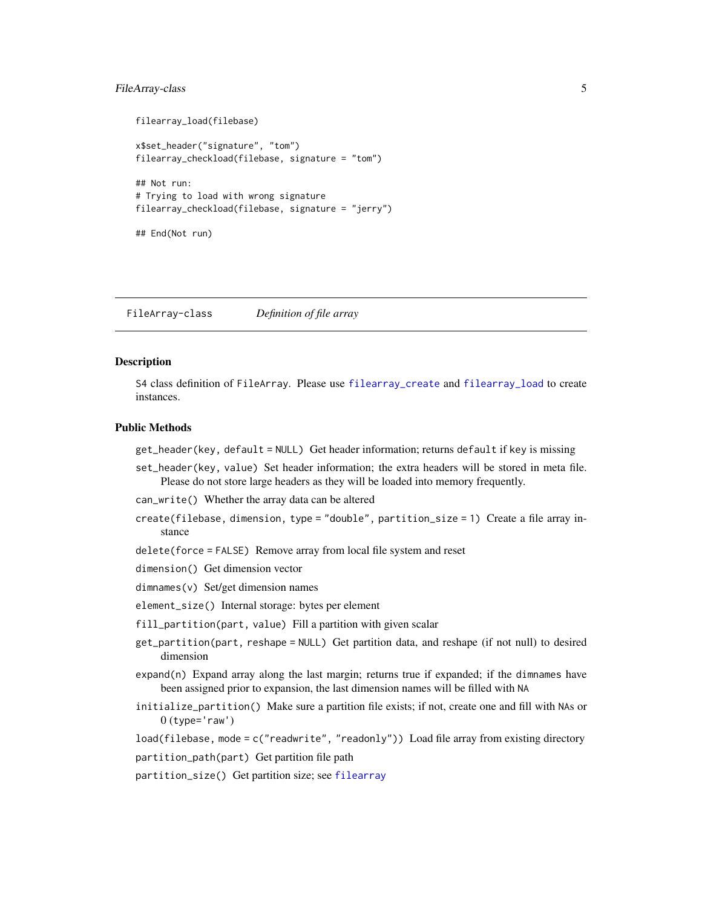#### <span id="page-4-0"></span>FileArray-class 5

```
filearray_load(filebase)
x$set_header("signature", "tom")
filearray_checkload(filebase, signature = "tom")
## Not run:
# Trying to load with wrong signature
filearray_checkload(filebase, signature = "jerry")
## End(Not run)
```
<span id="page-4-1"></span>FileArray-class *Definition of file array*

#### **Description**

S4 class definition of FileArray. Please use [filearray\\_create](#page-2-1) and [filearray\\_load](#page-2-1) to create instances.

#### Public Methods

get\_header(key, default = NULL) Get header information; returns default if key is missing

- set\_header(key, value) Set header information; the extra headers will be stored in meta file. Please do not store large headers as they will be loaded into memory frequently.
- can\_write() Whether the array data can be altered
- create(filebase, dimension, type = "double", partition\_size = 1) Create a file array instance
- delete(force = FALSE) Remove array from local file system and reset
- dimension() Get dimension vector

dimnames(v) Set/get dimension names

- element\_size() Internal storage: bytes per element
- fill\_partition(part, value) Fill a partition with given scalar
- get\_partition(part, reshape = NULL) Get partition data, and reshape (if not null) to desired dimension
- expand(n) Expand array along the last margin; returns true if expanded; if the dimnames have been assigned prior to expansion, the last dimension names will be filled with NA
- initialize\_partition() Make sure a partition file exists; if not, create one and fill with NAs or  $0$  (type= $'$ raw')

load(filebase, mode = c("readwrite", "readonly")) Load file array from existing directory

partition\_path(part) Get partition file path

partition\_size() Get partition size; see [filearray](#page-2-2)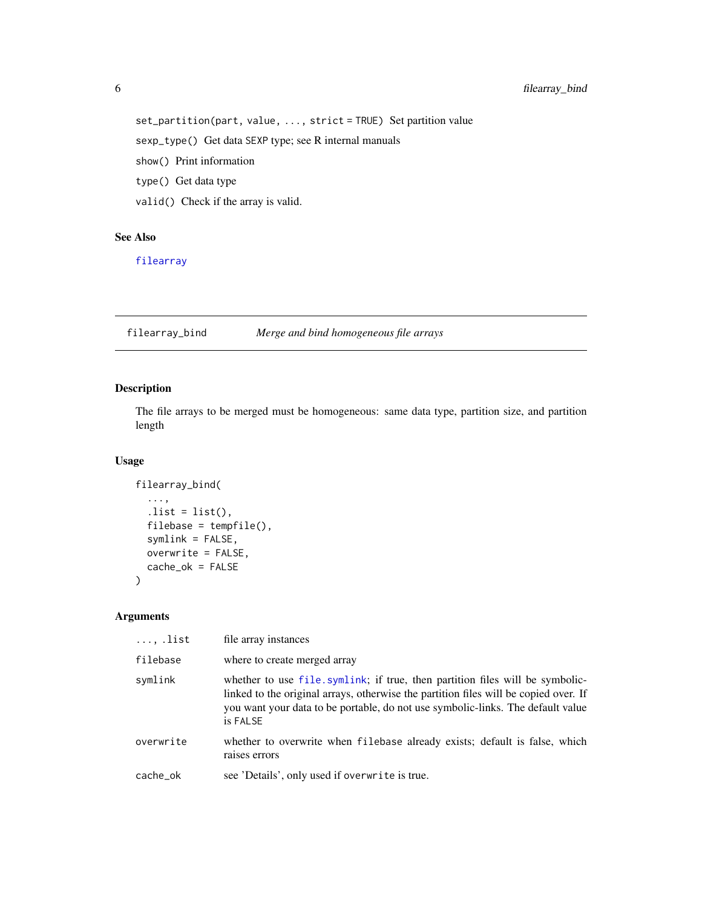set\_partition(part, value, ..., strict = TRUE) Set partition value

sexp\_type() Get data SEXP type; see R internal manuals

show() Print information

type() Get data type

valid() Check if the array is valid.

#### See Also

[filearray](#page-2-2)

<span id="page-5-1"></span>filearray\_bind *Merge and bind homogeneous file arrays*

#### Description

The file arrays to be merged must be homogeneous: same data type, partition size, and partition length

#### Usage

```
filearray_bind(
  ...,
  . list = list(),
  filebase = tempfile(),
  symlink = FALSE,
 overwrite = FALSE,
 cache_ok = FALSE
)
```

| , .list   | file array instances                                                                                                                                                                                                                                                |
|-----------|---------------------------------------------------------------------------------------------------------------------------------------------------------------------------------------------------------------------------------------------------------------------|
| filebase  | where to create merged array                                                                                                                                                                                                                                        |
| symlink   | whether to use file.symlink; if true, then partition files will be symbolic-<br>linked to the original arrays, otherwise the partition files will be copied over. If<br>you want your data to be portable, do not use symbolic-links. The default value<br>is FALSE |
| overwrite | whether to overwrite when filebase already exists; default is false, which<br>raises errors                                                                                                                                                                         |
| cache_ok  | see 'Details', only used if overwrite is true.                                                                                                                                                                                                                      |

<span id="page-5-0"></span>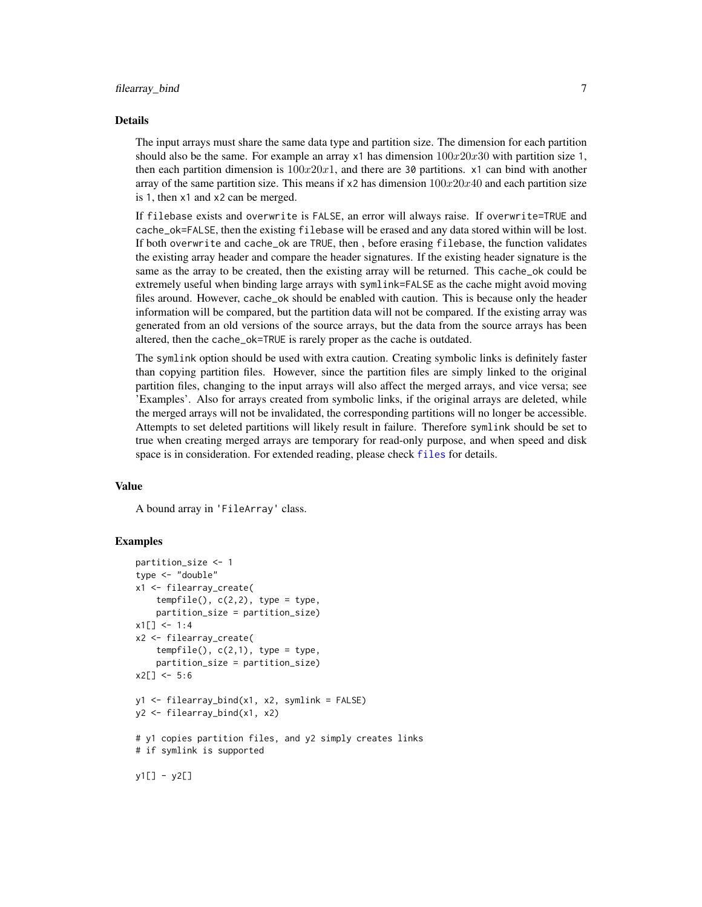#### <span id="page-6-0"></span>Details

The input arrays must share the same data type and partition size. The dimension for each partition should also be the same. For example an array  $x1$  has dimension  $100x20x30$  with partition size 1, then each partition dimension is  $100x20x1$ , and there are 30 partitions. x1 can bind with another array of the same partition size. This means if  $x2$  has dimension  $100x20x40$  and each partition size is 1, then x1 and x2 can be merged.

If filebase exists and overwrite is FALSE, an error will always raise. If overwrite=TRUE and cache\_ok=FALSE, then the existing filebase will be erased and any data stored within will be lost. If both overwrite and cache\_ok are TRUE, then , before erasing filebase, the function validates the existing array header and compare the header signatures. If the existing header signature is the same as the array to be created, then the existing array will be returned. This cache\_ok could be extremely useful when binding large arrays with symlink=FALSE as the cache might avoid moving files around. However, cache\_ok should be enabled with caution. This is because only the header information will be compared, but the partition data will not be compared. If the existing array was generated from an old versions of the source arrays, but the data from the source arrays has been altered, then the cache\_ok=TRUE is rarely proper as the cache is outdated.

The symlink option should be used with extra caution. Creating symbolic links is definitely faster than copying partition files. However, since the partition files are simply linked to the original partition files, changing to the input arrays will also affect the merged arrays, and vice versa; see 'Examples'. Also for arrays created from symbolic links, if the original arrays are deleted, while the merged arrays will not be invalidated, the corresponding partitions will no longer be accessible. Attempts to set deleted partitions will likely result in failure. Therefore symlink should be set to true when creating merged arrays are temporary for read-only purpose, and when speed and disk space is in consideration. For extended reading, please check [files](#page-0-0) for details.

#### Value

A bound array in 'FileArray' class.

```
partition_size <- 1
type <- "double"
x1 <- filearray_create(
    tempfile(), c(2,2), type = type,partition_size = partition_size)
x1[] < -1:4x2 <- filearray_create(
    tempfile(), c(2,1), type = type,partition_size = partition_size)
x2[] < -5:6y1 <- filearray_bind(x1, x2, symlink = FALSE)
y2 <- filearray_bind(x1, x2)
# y1 copies partition files, and y2 simply creates links
# if symlink is supported
y1[] - y2[]
```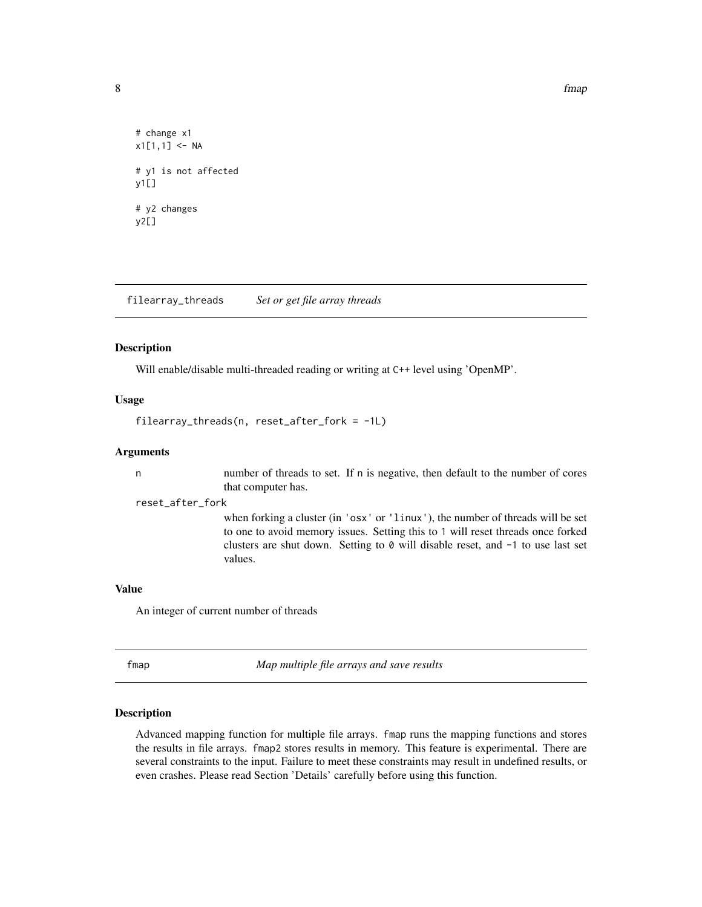8 fmap and the set of the set of the set of the set of the set of the set of the set of the set of the set of the set of the set of the set of the set of the set of the set of the set of the set of the set of the set of th

```
# change x1
x1[1,1] <- NA
# y1 is not affected
y1[]
# y2 changes
v2[]
```
<span id="page-7-1"></span>filearray\_threads *Set or get file array threads*

#### Description

Will enable/disable multi-threaded reading or writing at C++ level using 'OpenMP'.

#### Usage

filearray\_threads(n, reset\_after\_fork = -1L)

#### Arguments

n number of threads to set. If n is negative, then default to the number of cores that computer has.

#### reset\_after\_fork

when forking a cluster (in 'osx' or 'linux'), the number of threads will be set to one to avoid memory issues. Setting this to 1 will reset threads once forked clusters are shut down. Setting to 0 will disable reset, and -1 to use last set values.

#### Value

An integer of current number of threads

fmap *Map multiple file arrays and save results*

#### Description

Advanced mapping function for multiple file arrays. fmap runs the mapping functions and stores the results in file arrays. fmap2 stores results in memory. This feature is experimental. There are several constraints to the input. Failure to meet these constraints may result in undefined results, or even crashes. Please read Section 'Details' carefully before using this function.

<span id="page-7-0"></span>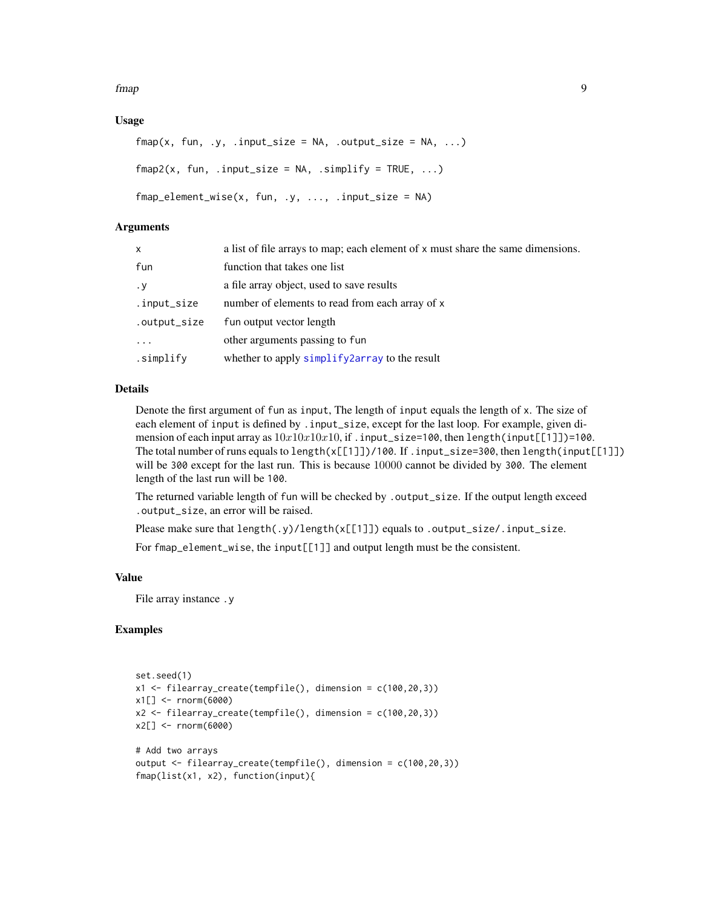<span id="page-8-0"></span>fmap 99

#### Usage

```
fmap(x, fun, y, input_size = NA, output_size = NA, ...)fmap2(x, fun, input_size = NA, simplify = TRUE, ...)fmap-element_wise(x, fun, .y, ..., .input_size = NA)
```
#### Arguments

| $\mathsf{x}$ | a list of file arrays to map; each element of $x$ must share the same dimensions. |
|--------------|-----------------------------------------------------------------------------------|
| fun          | function that takes one list                                                      |
| . у          | a file array object, used to save results                                         |
| .input_size  | number of elements to read from each array of x                                   |
| .output_size | fun output vector length                                                          |
| .            | other arguments passing to fun                                                    |
| .simplify    | whether to apply simplify 2 array to the result                                   |

#### Details

Denote the first argument of fun as input, The length of input equals the length of x. The size of each element of input is defined by .input\_size, except for the last loop. For example, given dimension of each input array as  $10x10x10x10$ , if . input\_size=100, then length(input[[1]])=100. The total number of runs equals to length(x[[1]])/100. If .input\_size=300, then length(input[[1]]) will be 300 except for the last run. This is because 10000 cannot be divided by 300. The element length of the last run will be 100.

The returned variable length of fun will be checked by .output\_size. If the output length exceed .output\_size, an error will be raised.

Please make sure that length(.y)/length(x[[1]]) equals to .output\_size/.input\_size.

For fmap\_element\_wise, the input[[1]] and output length must be the consistent.

#### Value

File array instance .y

```
set.seed(1)
x1 <- filearray_create(tempfile(), dimension = c(100,20,3))
x1[] <- rnorm(6000)
x2 \le filearray_create(tempfile(), dimension = c(100, 20, 3))
x2[] <- rnorm(6000)
# Add two arrays
output <- filearray_create(tempfile(), dimension = c(100,20,3))
fmap(list(x1, x2), function(input){
```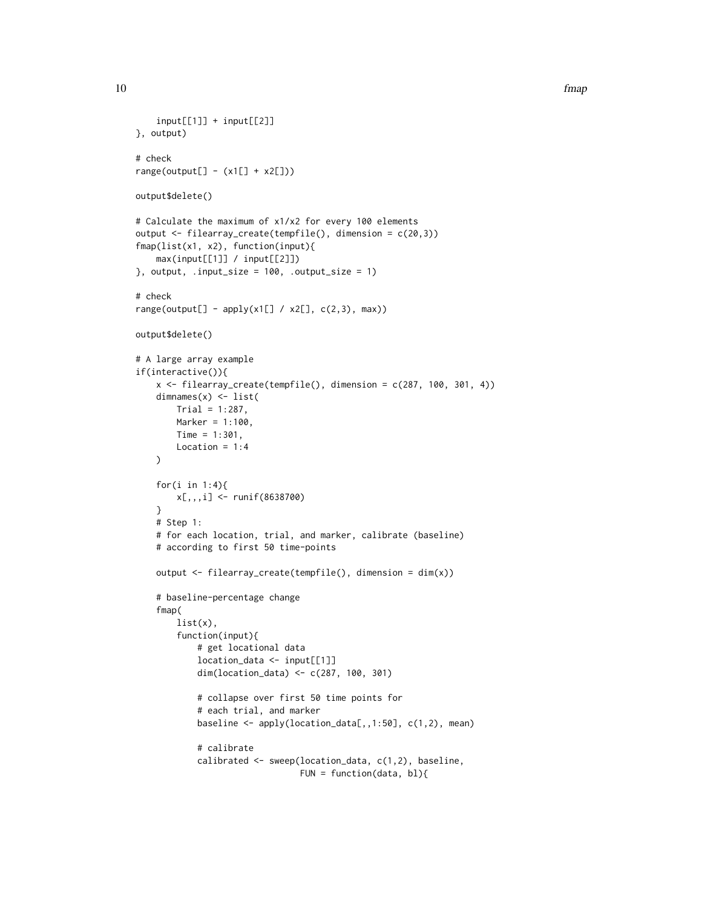```
10 fmap
```

```
input[[1]] + input[[2]]}, output)
# check
range(output[] - (x1[] + x2[]))
output$delete()
# Calculate the maximum of x1/x2 for every 100 elements
output <- filearray_create(tempfile(), dimension = c(20,3))
fmap(list(x1, x2), function(input){
    max(input[[1]] / input[[2]])
}, output, .input_size = 100, .output_size = 1)
# check
range(output[] - apply(x1[] / x2[], c(2,3), max))
output$delete()
# A large array example
if(interactive()){
    x \le filearray_create(tempfile(), dimension = c(287, 100, 301, 4))
    dimnames(x) <- list(
       Trial = 1:287,Marker = 1:100,
       Time = 1:301,
       Location = 1:4)
    for(i in 1:4){
       x[,,,i] <- runif(8638700)
    }
    # Step 1:
    # for each location, trial, and marker, calibrate (baseline)
    # according to first 50 time-points
   output <- filearray_create(tempfile(), dimension = dim(x))
    # baseline-percentage change
    fmap(
       list(x),
        function(input){
            # get locational data
            location_data <- input[[1]]
            dim(location_data) <- c(287, 100, 301)
            # collapse over first 50 time points for
            # each trial, and marker
            baseline <- apply(location_data[,,1:50], c(1,2), mean)
            # calibrate
            calibrated <- sweep(location_data, c(1,2), baseline,
                                FUN = function(data, bl){
```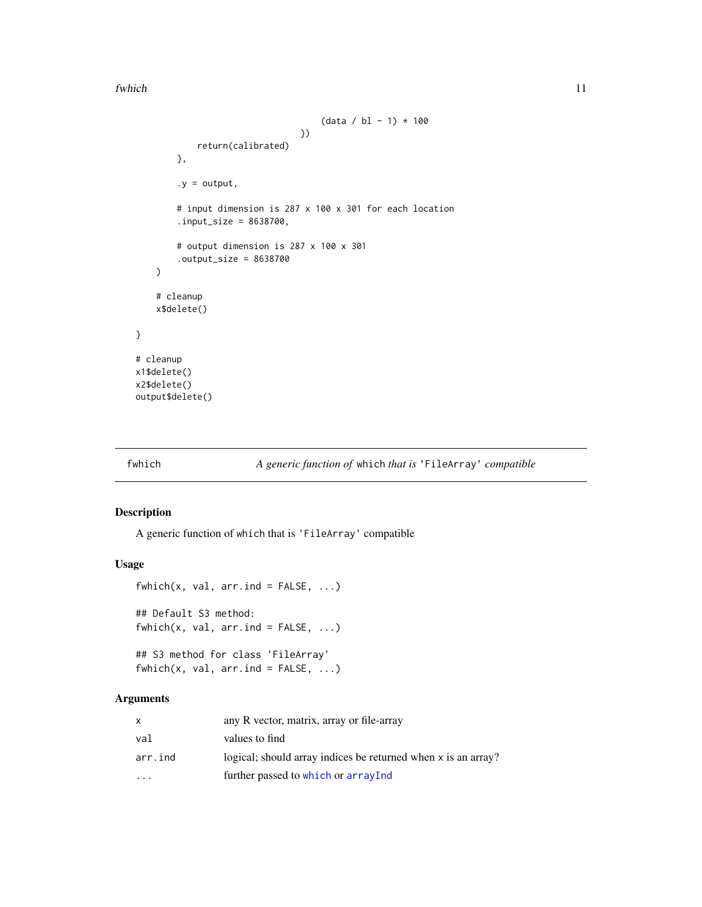<span id="page-10-0"></span>fwhich the contract of the contract of the contract of the contract of the contract of the contract of the contract of the contract of the contract of the contract of the contract of the contract of the contract of the con

```
(data / bl - 1) * 100})
            return(calibrated)
       },
        .y = output,# input dimension is 287 x 100 x 301 for each location
        input_size = 8638700,
        # output dimension is 287 x 100 x 301
        .output_size = 8638700
   )
    # cleanup
    x$delete()
# cleanup
x1$delete()
x2$delete()
output$delete()
```
}

#### fwhich *A generic function of* which *that is* 'FileArray' *compatible*

#### Description

A generic function of which that is 'FileArray' compatible

#### Usage

```
fwhich(x, val, arr. ind = FALSE, ...)
## Default S3 method:
fwhich(x, val, arr.ind = FALSE, ...)## S3 method for class 'FileArray'
```

```
fwhich(x, val, arr.ind = FALSE, ...)
```

|          | any R vector, matrix, array or file-array                     |
|----------|---------------------------------------------------------------|
| val      | values to find                                                |
| arr.ind  | logical; should array indices be returned when x is an array? |
| $\cdots$ | further passed to which or arrayInd                           |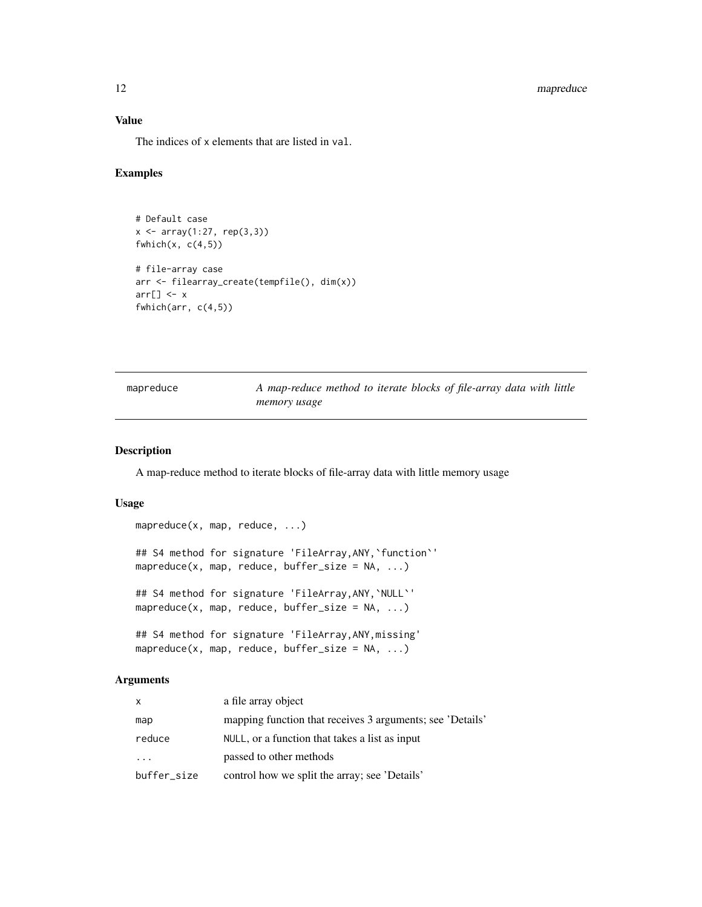#### <span id="page-11-0"></span>12 mapreduce

#### Value

The indices of x elements that are listed in val.

#### Examples

```
# Default case
x \leftarrow \text{array}(1:27, \text{rep}(3,3))fwhich(x, c(4,5))# file-array case
arr <- filearray_create(tempfile(), dim(x))
arr[] \leftarrow xfwhich(arr, c(4,5))
```

| mapreduce | A map-reduce method to iterate blocks of file-array data with little |  |  |  |  |
|-----------|----------------------------------------------------------------------|--|--|--|--|
|           | memory usage                                                         |  |  |  |  |

#### Description

A map-reduce method to iterate blocks of file-array data with little memory usage

#### Usage

```
mapreduce(x, map, reduce, ...)
## S4 method for signature 'FileArray,ANY,`function`'
mapreduce(x, map, reduce, buffer_size = NA, ...)
## S4 method for signature 'FileArray,ANY,`NULL`'
mapreduce(x, map, reduce, buffer_size = NA, ...)
## S4 method for signature 'FileArray,ANY,missing'
mapreduce(x, map, reduce, buffer_size = NA, ...)
```

| $\mathsf{x}$            | a file array object                                       |
|-------------------------|-----------------------------------------------------------|
| map                     | mapping function that receives 3 arguments; see 'Details' |
| reduce                  | NULL, or a function that takes a list as input            |
| $\cdot$ $\cdot$ $\cdot$ | passed to other methods                                   |
| buffer_size             | control how we split the array; see 'Details'             |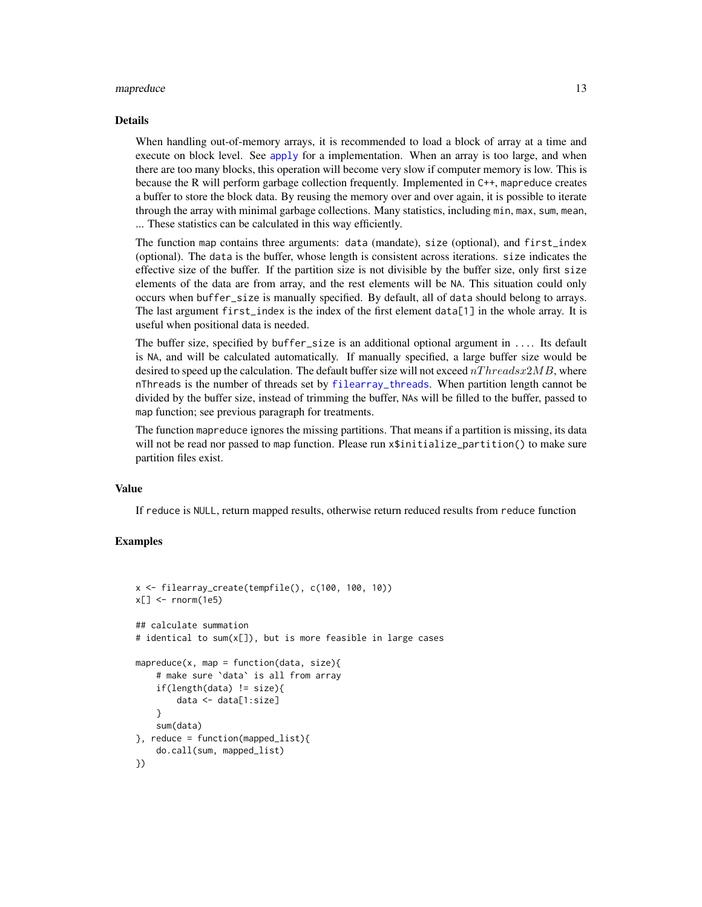#### <span id="page-12-0"></span>mapreduce the contract of the contract of the contract of the contract of the contract of the contract of the contract of the contract of the contract of the contract of the contract of the contract of the contract of the

#### Details

When handling out-of-memory arrays, it is recommended to load a block of array at a time and execute on block level. See [apply](#page-1-1) for a implementation. When an array is too large, and when there are too many blocks, this operation will become very slow if computer memory is low. This is because the R will perform garbage collection frequently. Implemented in C++, mapreduce creates a buffer to store the block data. By reusing the memory over and over again, it is possible to iterate through the array with minimal garbage collections. Many statistics, including min, max, sum, mean, ... These statistics can be calculated in this way efficiently.

The function map contains three arguments: data (mandate), size (optional), and first\_index (optional). The data is the buffer, whose length is consistent across iterations. size indicates the effective size of the buffer. If the partition size is not divisible by the buffer size, only first size elements of the data are from array, and the rest elements will be NA. This situation could only occurs when buffer\_size is manually specified. By default, all of data should belong to arrays. The last argument first\_index is the index of the first element data[1] in the whole array. It is useful when positional data is needed.

The buffer size, specified by buffer\_size is an additional optional argument in .... Its default is NA, and will be calculated automatically. If manually specified, a large buffer size would be desired to speed up the calculation. The default buffer size will not exceed  $nThreadsx2MB$ , where nThreads is the number of threads set by [filearray\\_threads](#page-7-1). When partition length cannot be divided by the buffer size, instead of trimming the buffer, NAs will be filled to the buffer, passed to map function; see previous paragraph for treatments.

The function mapreduce ignores the missing partitions. That means if a partition is missing, its data will not be read nor passed to map function. Please run x\$initialize\_partition() to make sure partition files exist.

#### Value

If reduce is NULL, return mapped results, otherwise return reduced results from reduce function

```
x <- filearray_create(tempfile(), c(100, 100, 10))
x[] \le- rnorm(1e5)
## calculate summation
# identical to sum(x[]), but is more feasible in large cases
mapreduce(x, map = function(data, size){
    # make sure `data` is all from array
    if(length(data) != size){
        data <- data[1:size]
    }
    sum(data)
}, reduce = function(mapped_list){
    do.call(sum, mapped_list)
})
```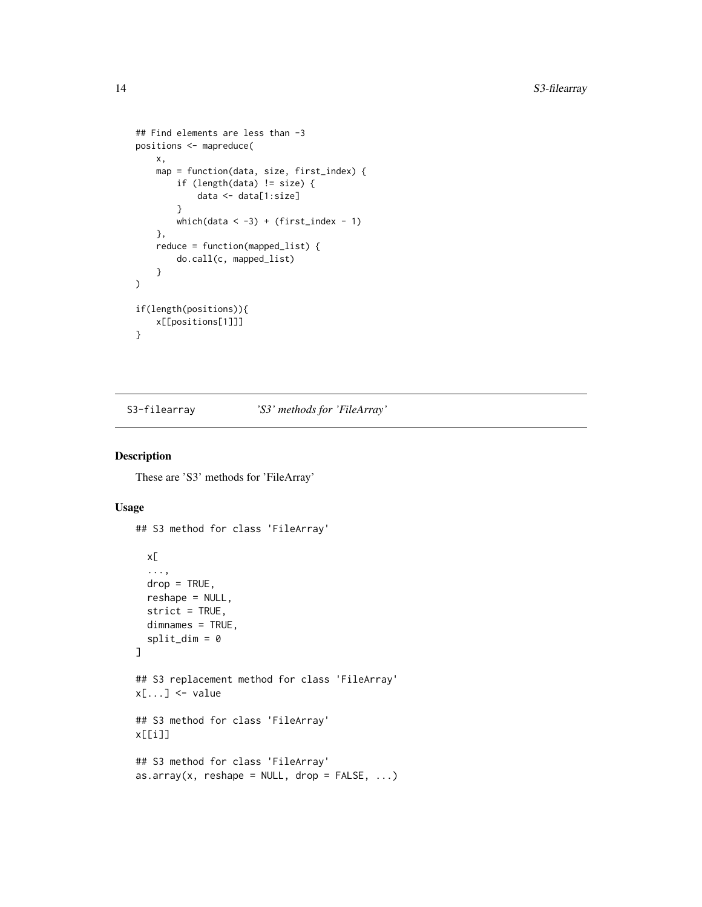```
## Find elements are less than -3
positions <- mapreduce(
    x,
    map = function(data, size, first_index) {
        if (length(data) != size) {
            data <- data[1:size]
        }
        which(data \langle -3 \rangle + (first_index - 1)
    },
    reduce = function(mapped_list) {
        do.call(c, mapped_list)
    }
)
if(length(positions)){
    x[[positions[1]]]
}
```
S3-filearray *'S3' methods for 'FileArray'*

#### Description

These are 'S3' methods for 'FileArray'

#### Usage

```
## S3 method for class 'FileArray'
 x[
  ...,
  drop = TRUE,reshape = NULL,
  strict = TRUE,
 dimnames = TRUE,
  split\_dim = 0]
## S3 replacement method for class 'FileArray'
x[\ldots] <- value
## S3 method for class 'FileArray'
x[[i]]
## S3 method for class 'FileArray'
as.array(x, reshape = NULL, drop = FALSE, ...)
```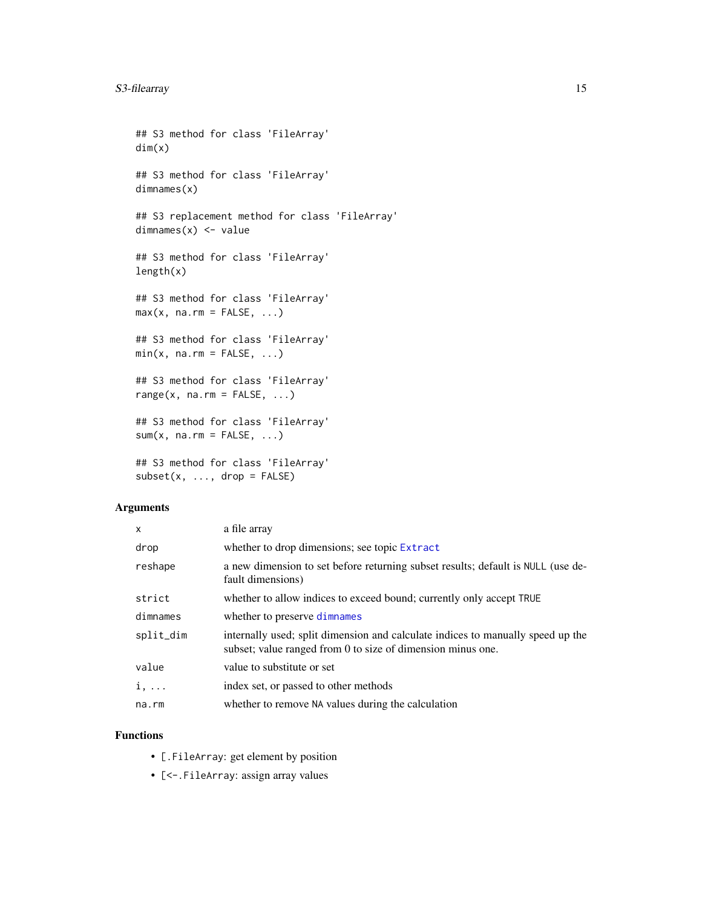```
## S3 method for class 'FileArray'
dim(x)
## S3 method for class 'FileArray'
dimnames(x)
## S3 replacement method for class 'FileArray'
dimnames(x) <- value
## S3 method for class 'FileArray'
length(x)
## S3 method for class 'FileArray'
max(x, na.rm = FALSE, ...)## S3 method for class 'FileArray'
min(x, na.rm = FALSE, ...)## S3 method for class 'FileArray'
range(x, \text{na.rm = FALSE}, \ldots)## S3 method for class 'FileArray'
sum(x, na.rm = FALSE, ...)## S3 method for class 'FileArray'
subset(x, ..., drop = FALSE)
```
#### Arguments

| X           | a file array                                                                                                                                   |
|-------------|------------------------------------------------------------------------------------------------------------------------------------------------|
| drop        | whether to drop dimensions; see topic Extract                                                                                                  |
| reshape     | a new dimension to set before returning subset results; default is NULL (use de-<br>fault dimensions)                                          |
| strict      | whether to allow indices to exceed bound; currently only accept TRUE                                                                           |
| dimnames    | whether to preserve dimnames                                                                                                                   |
| split_dim   | internally used; split dimension and calculate indices to manually speed up the<br>subset; value ranged from 0 to size of dimension minus one. |
| value       | value to substitute or set                                                                                                                     |
| $i, \ldots$ | index set, or passed to other methods                                                                                                          |
| na.rm       | whether to remove NA values during the calculation                                                                                             |

#### Functions

- [.FileArray: get element by position
- [<-.FileArray: assign array values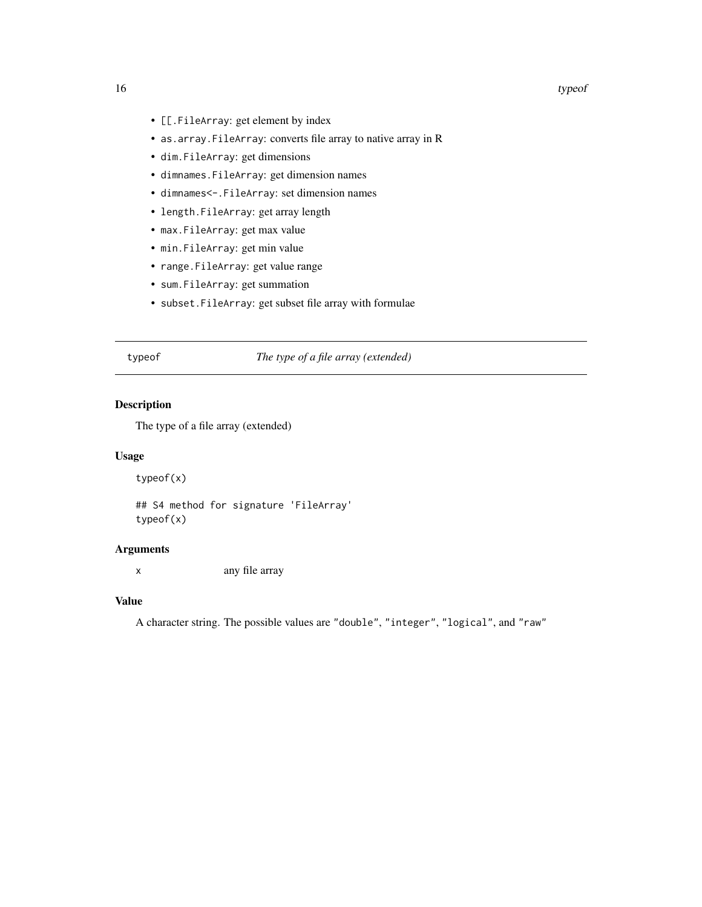#### <span id="page-15-0"></span>16 type of the contract of the contract of the contract of the contract of the contract of the contract of the contract of the contract of the contract of the contract of the contract of the contract of the contract of the

- [[.FileArray: get element by index
- as.array.FileArray: converts file array to native array in R
- dim.FileArray: get dimensions
- dimnames.FileArray: get dimension names
- dimnames<-.FileArray: set dimension names
- length.FileArray: get array length
- max.FileArray: get max value
- min.FileArray: get min value
- range.FileArray: get value range
- sum.FileArray: get summation
- subset.FileArray: get subset file array with formulae

#### typeof *The type of a file array (extended)*

#### Description

The type of a file array (extended)

#### Usage

typeof(x)

## S4 method for signature 'FileArray' typeof(x)

#### Arguments

x any file array

#### Value

A character string. The possible values are "double", "integer", "logical", and "raw"